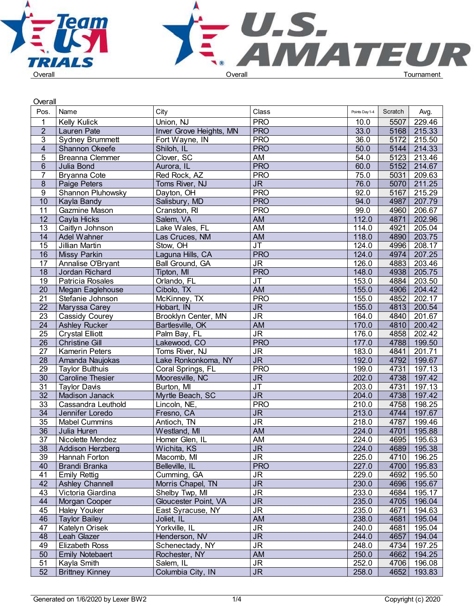

| Overall         |                         |                         |                                   |                |         |             |  |
|-----------------|-------------------------|-------------------------|-----------------------------------|----------------|---------|-------------|--|
| Pos.            | Name                    | City                    | Class                             | Points Day 1-4 | Scratch | Avg.        |  |
|                 | <b>Kelly Kulick</b>     | Union, NJ               | <b>PRO</b>                        | 10.0           | 5507    | 229.46      |  |
| $\overline{2}$  | Lauren Pate             | Inver Grove Heights, MN | <b>PRO</b>                        | 33.0           | 5168    | 215.33      |  |
| 3               | <b>Sydney Brummett</b>  | Fort Wayne, IN          | <b>PRO</b>                        | 36.0           | 5172    | 215.50      |  |
| $\overline{4}$  | Shannon Okeefe          | Shiloh, IL              | <b>PRO</b>                        | 50.0           | 5144    | 214.33      |  |
| 5               | <b>Breanna Clemmer</b>  | Clover, SC              | AM                                | 54.0           | 5123    | 213.46      |  |
| $6\phantom{.}$  | Julia Bond              | Aurora, IL              | <b>PRO</b>                        | 60.0           | 5152    | 214.67      |  |
| $\overline{7}$  | Bryanna Cote            | Red Rock, AZ            | <b>PRO</b>                        | 75.0           | 5031    | 209.63      |  |
| 8               | Paige Peters            | Toms River, NJ          | JR.                               | 76.0           | 5070    | 211.25      |  |
| 9               | Shannon Pluhowsky       | Dayton, OH              | <b>PRO</b>                        | 92.0           | 5167    | 215.29      |  |
| 10              | Kayla Bandy             | Salisbury, MD           | <b>PRO</b>                        | 94.0           | 4987    | 207.79      |  |
| 11              | Gazmine Mason           | Cranston, RI            | <b>PRO</b>                        | 99.0           | 4960    | 206.67      |  |
| 12              | Cayla Hicks             | Salem, VA               | <b>AM</b>                         | 112.0          | 4871    | 202.96      |  |
| 13              | Caitlyn Johnson         | Lake Wales, FL          | AM                                | 114.0          | 4921    | 205.04      |  |
| 14              | Adel Wahner             | Las Cruces, NM          | <b>AM</b>                         | 118.0          | 4890    | 203.75      |  |
| 15              | Jillian Martin          | Stow, OH                | <b>JT</b>                         | 124.0          | 4996    | 208.17      |  |
| $\overline{16}$ | Missy Parkin            | Laguna Hills, CA        | <b>PRO</b>                        | 124.0          | 4974    | 207.25      |  |
| 17              | Annalise O'Bryant       | Ball Ground, GA         | J <sub>R</sub>                    | 126.0          | 4883    | 203.46      |  |
| 18              | Jordan Richard          | Tipton, MI              | <b>PRO</b>                        | 148.0          | 4938    | 205.75      |  |
| 19              | Patricia Rosales        | Orlando, FL             | <b>JT</b>                         | 153.0          | 4884    | 203.50      |  |
| 20              | Megan Eaglehouse        | Cibolo, TX              | <b>AM</b>                         | 155.0          | 4906    | 204.42      |  |
| 21              | Stefanie Johnson        | McKinney, TX            | <b>PRO</b>                        | 155.0          | 4852    | 202.17      |  |
| $\overline{22}$ | Maryssa Carey           | Hobart, IN              | $\overline{\mathsf{JR}}$          | 155.0          | 4813    | 200.54      |  |
| 23              | Cassidy Courey          | Brooklyn Center, MN     | $\overline{\mathsf{J}\mathsf{R}}$ | 164.0          | 4840    | 201.67      |  |
| $\overline{24}$ | <b>Ashley Rucker</b>    | Bartlesville, OK        | <b>AM</b>                         | 170.0          | 4810    | 200.42      |  |
| $\overline{25}$ | <b>Crystal Elliott</b>  | Palm Bay, FL            | $\overline{\mathsf{JR}}$          | 176.0          | 4858    | 202.42      |  |
| $\overline{26}$ | <b>Christine Gill</b>   | Lakewood, CO            | <b>PRO</b>                        | 177.0          | 4788    | 199.50      |  |
| $\overline{27}$ | <b>Kamerin Peters</b>   | Toms River, NJ          | $\overline{\mathsf{J}\mathsf{R}}$ | 183.0          | 4841    | 201.71      |  |
| 28              | Amanda Naujokas         | Lake Ronkonkoma, NY     | $\overline{\mathsf{JR}}$          | 192.0          | 4792    | 199.67      |  |
| 29              | <b>Taylor Bulthuis</b>  | Coral Springs, FL       | <b>PRO</b>                        | 199.0          | 4731    | 197.13      |  |
| 30              | <b>Caroline Thesier</b> | Mooresville, NC         | <b>JR</b>                         | 202.0          | 4738    | 197.42      |  |
| $\overline{31}$ | <b>Taylor Davis</b>     | Burton, MI              | <b>JT</b>                         | 203.0          | 4731    | 197.13      |  |
| $\overline{32}$ | <b>Madison Janack</b>   | Myrtle Beach, SC        | $\overline{\mathsf{JR}}$          | 204.0          | 4738    | 197.42      |  |
| 33              | Cassandra Leuthold      | Lincoln, NE,            | <b>PRO</b>                        | 210.0          | 4758    | 198.25      |  |
| $\overline{34}$ | Jennifer Loredo         | Fresno, CA              | $\overline{\mathsf{JR}}$          | 213.0          | 4744    | 197.67      |  |
| 35              | <b>Mabel Cummins</b>    | Antioch, TN             | <b>JR</b>                         | 218.0          | 4787    | 199.46      |  |
| 36              | Julia Huren             | Westland, MI            | AM                                | 224.0          | 4701    | 195.88      |  |
| 37              | Nicolette Mendez        | Homer Glen, IL          | AM                                | 224.0          | 4695    | 195.63      |  |
|                 | Addison Herzberg        | Wichita, KS             | <b>JR</b>                         | 224.0          |         | 4689 195.38 |  |
| 38<br>39        | Hannah Forton           | Macomb, MI              | <b>JR</b>                         | 225.0          | 4710    | 196.25      |  |
| 40              | <b>Brandi Branka</b>    | Belleville, IL          | <b>PRO</b>                        | 227.0          |         | 4700 195.83 |  |
| 41              | <b>Emily Rettig</b>     | Cumming, GA             | <b>JR</b>                         | 229.0          | 4692    | 195.50      |  |
| 42              | Ashley Channell         | Morris Chapel, TN       | <b>JR</b>                         | 230.0          | 4696    | 195.67      |  |
| 43              | Victoria Giardina       | Shelby Twp, MI          | <b>JR</b>                         | 233.0          | 4684    | 195.17      |  |
| 44              | Morgan Cooper           | Gloucester Point, VA    | <b>JR</b>                         | 235.0          | 4705    | 196.04      |  |
| 45              | <b>Haley Youker</b>     | East Syracuse, NY       | <b>JR</b>                         | 235.0          | 4671    | 194.63      |  |
| 46              | <b>Taylor Bailey</b>    | Joliet, IL              | AM                                | 238.0          | 4681    | 195.04      |  |
| 47              | Katelyn Orisek          | Yorkville, IL           | <b>JR</b>                         | 240.0          | 4681    | 195.04      |  |
| 48              | Leah Glazer             | Henderson, NV           | <b>JR</b>                         | 244.0          | 4657    | 194.04      |  |
| 49              | <b>Elizabeth Ross</b>   | Schenectady, NY         | <b>JR</b>                         | 248.0          | 4734    | 197.25      |  |
| 50              | <b>Emily Notebaert</b>  | Rochester, NY           | AM                                | 250.0          | 4662    | 194.25      |  |
| 51              | Kayla Smith             | Salem, IL               | J <sub>R</sub>                    | 252.0          | 4706    | 196.08      |  |
| 52              | <b>Brittney Kinney</b>  | Columbia City, IN       | $\overline{\mathsf{JR}}$          | 258.0          | 4652    | 193.83      |  |
|                 |                         |                         |                                   |                |         |             |  |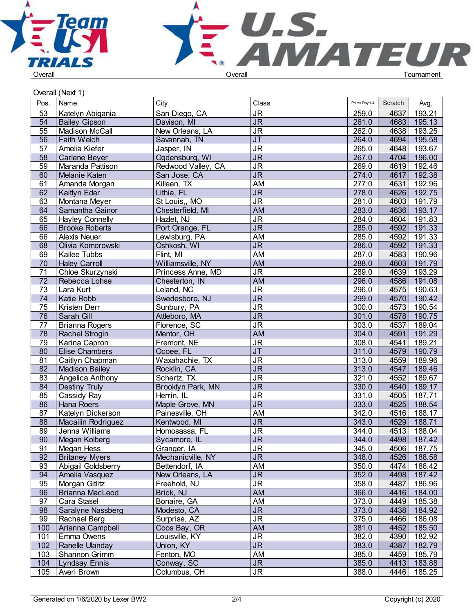



## Overall (Next 1)

| Pos.            | Name                   | City               | Class                             | Points Day 1-4 | Scratch | Avg.   |  |
|-----------------|------------------------|--------------------|-----------------------------------|----------------|---------|--------|--|
| 53              | Katelyn Abigania       | San Diego, CA      | $\overline{\mathsf{J}\mathsf{R}}$ | 259.0          | 4637    | 193.21 |  |
| 54              | <b>Bailey Gipson</b>   | Davison, MI        | $\overline{\mathsf{J}\mathsf{R}}$ | 261.0          | 4683    | 195.13 |  |
| $\overline{55}$ | Madison McCall         | New Orleans, LA    | $\overline{\mathsf{J}\mathsf{R}}$ | 262.0          | 4638    | 193.25 |  |
| $\overline{56}$ | <b>Faith Welch</b>     | Savannah, TN       | $\overline{J}$                    | 264.0          | 4694    | 195.58 |  |
| 57              | Amelia Kiefer          | Jasper, IN         | <b>JR</b>                         | 265.0          | 4648    | 193.67 |  |
| $\overline{58}$ | Carlene Beyer          | Ogdensburg, WI     | $\overline{\mathsf{J}\mathsf{R}}$ | 267.0          | 4704    | 196.00 |  |
| 59              | Maranda Pattison       | Redwood Valley, CA | <b>JR</b>                         | 269.0          | 4619    | 192.46 |  |
| 60              | Melanie Katen          | San Jose, CA       | J <sub>R</sub>                    | 274.0          | 4617    | 192.38 |  |
| 61              | Amanda Morgan          | Killeen, TX        | AM                                | 277.0          | 4631    | 192.96 |  |
| 62              | Kaitlyn Eder           | Lithia, FL         | <b>JR</b>                         | 278.0          | 4626    | 192.75 |  |
| 63              | Montana Meyer          | St Louis,, MO      | $\overline{\mathsf{J}\mathsf{R}}$ | 281.0          | 4603    | 191.79 |  |
| 64              | Samantha Gainor        | Chesterfield, MI   | <b>AM</b>                         | 283.0          | 4636    | 193.17 |  |
| 65              | <b>Hayley Connelly</b> | Hazlet, NJ         | $\overline{\mathsf{J}\mathsf{R}}$ | 284.0          | 4604    | 191.83 |  |
| 66              | <b>Brooke Roberts</b>  | Port Orange, FL    | $\overline{\mathsf{JR}}$          | 285.0          | 4592    | 191.33 |  |
| 66              | Alexis Neuer           | Lewisburg, PA      | AM                                | 285.0          | 4592    | 191.33 |  |
| 68              | Olivia Komorowski      | Oshkosh, WI        | $\overline{\mathsf{JR}}$          | 286.0          | 4592    | 191.33 |  |
| 69              | Kailee Tubbs           | Flint, MI          | AM                                | 287.0          | 4583    | 190.96 |  |
| 70              | <b>Haley Carroll</b>   | Williamsville, NY  | AM                                | 288.0          | 4603    | 191.79 |  |
| 71              | Chloe Skurzynski       | Princess Anne, MD  | $\overline{\mathsf{J}\mathsf{R}}$ | 289.0          | 4639    | 193.29 |  |
| $\overline{72}$ | Rebecca Lohse          | Chesterton, IN     | AM                                | 296.0          | 4586    | 191.08 |  |
| $\overline{73}$ | Lara Kurt              | Leland, NC         | $\overline{\mathsf{JR}}$          | 296.0          | 4575    | 190.63 |  |
| 74              | Katie Robb             | Swedesboro, NJ     | <b>JR</b>                         | 299.0          | 4570    | 190.42 |  |
| 75              | Kristen Derr           | Sunbury, PA        | $\overline{\mathsf{J}\mathsf{R}}$ | 300.0          | 4573    | 190.54 |  |
| 76              | Sarah Gill             | Attleboro, MA      | $\overline{\mathsf{J}\mathsf{R}}$ | 301.0          | 4578    | 190.75 |  |
| 77              | <b>Brianna Rogers</b>  | Florence, SC       | $\overline{\mathsf{J}\mathsf{R}}$ | 303.0          | 4537    | 189.04 |  |
| 78              | Rachel Strogin         | Mentor, OH         | <b>AM</b>                         | 304.0          | 4591    | 191.29 |  |
| 79              | Karina Capron          | Fremont, NE        | $\overline{\mathsf{J}\mathsf{R}}$ | 308.0          | 4541    | 189.21 |  |
| 80              | <b>Elise Chambers</b>  | Ocoee, FL          | $\overline{\mathsf{J}\mathsf{T}}$ | 311.0          | 4579    | 190.79 |  |
| 81              | Caitlyn Chapman        | Waxahachie, TX     | $\overline{\mathsf{J}\mathsf{R}}$ | 313.0          | 4559    | 189.96 |  |
| 82              | Madison Bailey         | Rocklin, CA        | $\overline{\mathsf{JR}}$          | 313.0          | 4547    | 189.46 |  |
| 83              | Angelica Anthony       | Schertz, TX        | <b>JR</b>                         | 321.0          | 4552    | 189.67 |  |
| 84              | <b>Destiny Truly</b>   | Brooklyn Park, MN  | $\overline{\mathsf{J}\mathsf{R}}$ | 330.0          | 4540    | 189.17 |  |
| 85              | Cassidy Ray            | Herrin, IL         | $\overline{\mathsf{J}\mathsf{R}}$ | 331.0          | 4505    | 187.71 |  |
| 86              | Hana Roers             | Maple Grove, MN    | $\overline{\mathsf{J}\mathsf{R}}$ | 333.0          | 4525    | 188.54 |  |
| 87              | Katelyn Dickerson      | Painesville, OH    | AM                                | 342.0          | 4516    | 188.17 |  |
| 88              | Macailin Rodriguez     | Kentwood, MI       | $\overline{\mathsf{JR}}$          | 343.0          | 4529    | 188.71 |  |
| 89              | Jenna Williams         | Homosassa, FL      | <b>JR</b>                         | 344.0          | 4513    | 188.04 |  |
| 90              | Megan Kolberg          | Sycamore, IL       | $\overline{\mathsf{JR}}$          | 344.0          | 4498    | 187.42 |  |
| 91              | <b>Megan Hess</b>      | Granger, IA        | <b>JR</b>                         | 345.0          | 4506    | 187.75 |  |
| $\overline{92}$ | <b>Britaney Myers</b>  | Mechanicville, NY  | $\overline{\mathsf{JR}}$          | 348.0          | 4526    | 188.58 |  |
| 93              | Abigail Goldsberry     | Bettendorf, IA     | AM                                | 350.0          | 4474    | 186.42 |  |
| 94              | Amelia Vasquez         | New Orleans, LA    | $\overline{\mathsf{JR}}$          | 352.0          | 4498    | 187.42 |  |
| 95              | Morgan Gitlitz         | Freehold, NJ       | $\overline{\mathsf{J}\mathsf{R}}$ | 358.0          | 4487    | 186.96 |  |
| 96              | <b>Brianna MacLeod</b> | Brick, NJ          | AM                                | 366.0          | 4416    | 184.00 |  |
| 97              | Cara Stasel            | Bonaire, GA        | AM                                | 373.0          | 4449    | 185.38 |  |
| 98              | Saralyne Nassberg      | Modesto, CA        | $\overline{\mathsf{JR}}$          | 373.0          | 4438    | 184.92 |  |
| 99              | Rachael Berg           | Surprise, AZ       | $\overline{\mathsf{JR}}$          | 375.0          | 4466    | 186.08 |  |
| 100             | Arianna Campbell       | Coos Bay, OR       | AM                                | 381.0          | 4452    | 185.50 |  |
| 101             | Emma Owens             | Louisville, KY     | <b>JR</b>                         | 382.0          | 4390    | 182.92 |  |
| 102             | Ranelle Ulanday        | Union, KY          | <b>JR</b>                         | 383.0          | 4387    | 182.79 |  |
| 103             | Shannon Grimm          | Fenton, MO         | AM                                | 385.0          | 4459    | 185.79 |  |
| 104             | Lyndsay Ennis          | Conway, SC         | <b>JR</b>                         | 385.0          | 4413    | 183.88 |  |
| 105             | Averi Brown            | Columbus, OH       | $\overline{\mathsf{J}\mathsf{R}}$ | 388.0          | 4446    | 185.25 |  |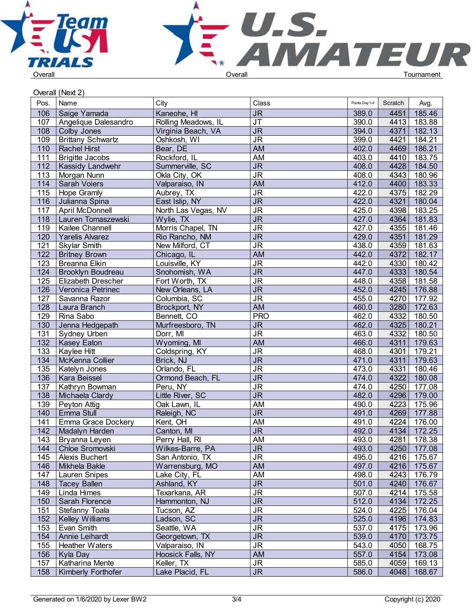



Overall (Next 2)

|      | $\cup$ vui dii (1 vunt 2 j |                     |                                   |                |         |             |  |
|------|----------------------------|---------------------|-----------------------------------|----------------|---------|-------------|--|
| Pos. | Name                       | City                | Class                             | Points Day 1-4 | Scratch | Avg.        |  |
| 106  | Saige Yamada               | Kaneohe, HI         | <b>JR</b>                         | 389.0          | 4451    | 185.46      |  |
| 107  | Angelique Dalesandro       | Rolling Meadows, IL | $\overline{\mathsf{J}\mathsf{T}}$ | 390.0          | 4413    | 183.88      |  |
| 108  | Colby Jones                | Virginia Beach, VA  | $\overline{\mathsf{J}\mathsf{R}}$ | 394.0          | 4371    | 182.13      |  |
| 109  | <b>Brittany Schwartz</b>   | Oshkosh, WI         | <b>JR</b>                         | 399.0          | 4421    | 184.21      |  |
| 110  | <b>Rachel Hirst</b>        | Bear, DE            | <b>AM</b>                         | 402.0          | 4469    | 186.21      |  |
| 111  | <b>Brigitte Jacobs</b>     | Rockford, IL        | AM                                | 403.0          | 4410    | 183.75      |  |
| 112  | <b>Kassidy Landwehr</b>    | Summerville, SC     | <b>JR</b>                         | 408.0          | 4428    | 184.50      |  |
| 113  | Morgan Nunn                | Okla City, OK       | <b>JR</b>                         | 408.0          | 4343    | 180.96      |  |
| 114  | <b>Sarah Voiers</b>        | Valparaiso, IN      | <b>AM</b>                         | 412.0          | 4400    | 183.33      |  |
| 115  | Hope Gramly                | Aubrey, TX          | <b>JR</b>                         | 422.0          | 4375    | 182.29      |  |
| 116  | Julianna Spina             | East Islip, NY      | $\overline{\mathsf{J}\mathsf{R}}$ | 422.0          | 4321    | 180.04      |  |
| 117  | April McDonnell            | North Las Vegas, NV | $\overline{\mathsf{J}\mathsf{R}}$ | 425.0          | 4398    | 183.25      |  |
| 118  | Lauren Tomaszewski         | Wylie, TX           | <b>JR</b>                         | 427.0          | 4364    | 181.83      |  |
| 119  | Kailee Channell            | Morris Chapel, TN   | <b>JR</b>                         | 427.0          | 4355    | 181.46      |  |
| 120  | Yarelis Alvarez            | Rio Rancho, NM      | <b>JR</b>                         | 429.0          | 4351    | 181.29      |  |
| 121  | <b>Skylar Smith</b>        | New Milford, CT     | <b>JR</b>                         | 438.0          | 4359    | 181.63      |  |
| 122  | <b>Britney Brown</b>       | Chicago, IL         | <b>AM</b>                         | 442.0          | 4372    | 182.17      |  |
| 123  | <b>Breanna Elkin</b>       | Louisville, KY      | <b>JR</b>                         | 442.0          | 4330    | 180.42      |  |
| 124  | <b>Brooklyn Boudreau</b>   | Snohomish, WA       | $\overline{\mathsf{J}\mathsf{R}}$ | 447.0          | 4333    | 180.54      |  |
| 125  | Elizabeth Drescher         | Fort Worth, TX      | <b>JR</b>                         | 448.0          | 4358    | 181.58      |  |
| 126  | Veronica Petrinec          | New Orleans, LA     | $\overline{\mathsf{JR}}$          | 452.0          | 4245    | 176.88      |  |
| 127  | Savanna Razor              | Columbia, SC        | $\overline{\mathsf{J}\mathsf{R}}$ | 455.0          | 4270    | 177.92      |  |
| 128  | Laura Branch               | Brockport, NY       | AM                                | 460.0          | 3280    | 172.63      |  |
| 129  | Rina Sabo                  | Bennett, CO         | <b>PRO</b>                        | 462.0          | 4332    | 180.50      |  |
| 130  | Jenna Hedgepath            | Murfreesboro, TN    | <b>JR</b>                         | 462.0          | 4325    | 180.21      |  |
| 131  | Sydney Urben               | Dorr, MI            | <b>JR</b>                         | 463.0          | 4332    | 180.50      |  |
| 132  | <b>Kasey Eaton</b>         | Wyoming, MI         | <b>AM</b>                         | 466.0          | 4311    | 179.63      |  |
| 133  | Kaylee Hitt                | Coldspring, KY      | <b>JR</b>                         | 468.0          | 4301    | 179.21      |  |
| 134  | McKenna Collier            | Brick, NJ           | $\overline{\mathsf{J}\mathsf{R}}$ | 471.0          | 4311    | 179.63      |  |
| 135  | Katelyn Jones              | Orlando, FL         | <b>JR</b>                         | 473.0          | 4331    | 180.46      |  |
| 136  | Kara Beissel               | Ormond Beach, FL    | <b>JR</b>                         | 474.0          | 4322    | 180.08      |  |
| 137  | Kathryn Bowman             | Peru, NY            | $\overline{\mathsf{J}\mathsf{R}}$ | 474.0          | 4250    | 177.08      |  |
| 138  | Michaela Clardy            | Little River, SC    | <b>JR</b>                         | 482.0          | 4296    | 179.00      |  |
| 139  | Peyton Attig               | Oak Lawn, IL        | AM                                | 490.0          | 4223    | 175.96      |  |
| 140  | Emma Stull                 | Raleigh, NC         | <b>JR</b>                         | 491.0          | 4269    | 177.88      |  |
| 141  | Emma Grace Dockery         | Kent, OH            | AM                                | 491.0          | 4224    | 176.00      |  |
| 142  | Madalyn Harden             | Canton, MI          | <b>JR</b>                         | 492.0          | 4134    | 172.25      |  |
| 143  | Bryanna Leyen              | Perry Hall, RI      | AM                                | 493.0          |         | 4281 178.38 |  |
| 144  | Chloe Sromovski            | Wilkes-Barre, PA    | <b>JR</b>                         | 493.0          |         | 4250 177.08 |  |
| 145  | Alexis Buchert             | San Antonio, TX     | <b>JR</b>                         | 495.0          |         | 4216 175.67 |  |
| 146  | Mikhela Bakle              | Warrensburg, MO     | AM                                | 497.0          |         | 4216 175.67 |  |
| 147  | <b>Lauren Snipes</b>       | Lake City, FL       | AM                                | 498.0          |         | 4243 176.79 |  |
| 148  | <b>Tacey Ballen</b>        | Ashland, KY         | <b>JR</b>                         | 501.0          |         | 4240 176.67 |  |
| 149  | Linda Himes                | Texarkana, AR       | <b>JR</b>                         | 507.0          |         | 4214 175.58 |  |
| 150  | Sarah Florence             | Hammonton, NJ       | <b>JR</b>                         | 512.0          |         | 4134 172.25 |  |
| 151  | Stefanny Toala             | Tucson, AZ          | <b>JR</b>                         | 524.0          |         | 4225 176.04 |  |
| 152  | <b>Kelley Williams</b>     | Ladson, SC          | <b>JR</b>                         | 525.0          |         | 4196 174.83 |  |
| 153  | Evan Smith                 | Seattle, WA         | <b>JR</b>                         | 537.0          |         | 4175 173.96 |  |
| 154  | Annie Leihardt             | Georgetown, TX      | <b>JR</b>                         | 539.0          |         | 4170 173.75 |  |
| 155  | <b>Heather Waters</b>      | Valparaiso, IN      | <b>JR</b>                         | 543.0          | 4050    | 168.75      |  |
| 156  | Kyla Day                   | Hoosick Falls, NY   | <b>AM</b>                         | 557.0          | 4154    | 173.08      |  |
| 157  | Katharina Mente            | Keller, TX          | <b>JR</b>                         | 585.0          | 4059    | 169.13      |  |
| 158  | Kimberly Forthofer         | Lake Placid, FL     | <b>JR</b>                         | 586.0          |         | 4048 168.67 |  |
|      |                            |                     |                                   |                |         |             |  |